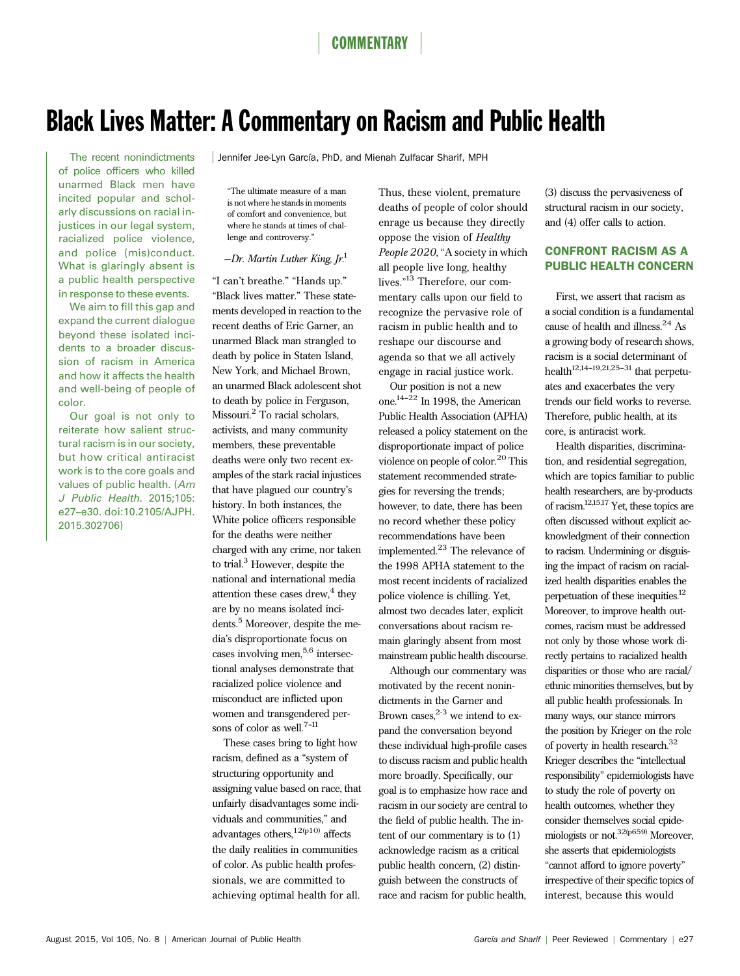# Black Lives Matter: A Commentary on Racism and Public Health

Jennifer Jee-Lyn García, PhD, and Mienah Zulfacar Sharif, MPH

The recent nonindictments of police officers who killed unarmed Black men have incited popular and scholarly discussions on racial injustices in our legal system, racialized police violence, and police (mis)conduct. What is glaringly absent is a public health perspective in response to these events.

We aim to fill this gap and expand the current dialogue beyond these isolated incidents to a broader discussion of racism in America and how it affects the health and well-being of people of color.

Our goal is not only to reiterate how salient structural racism is in our society, but how critical antiracist work is to the core goals and values of public health. (Am J Public Health. 2015;105: e27–e30. doi:10.2105/AJPH. 2015.302706)

"The ultimate measure of a man is not where he stands in moments of comfort and convenience, but where he stands at times of challenge and controversy."

### $-Dr$ . Martin Luther King,  $Ir<sup>1</sup>$

"I can't breathe." "Hands up." "Black lives matter." These statements developed in reaction to the recent deaths of Eric Garner, an unarmed Black man strangled to death by police in Staten Island, New York, and Michael Brown, an unarmed Black adolescent shot to death by police in Ferguson, Missouri.<sup>2</sup> To racial scholars, activists, and many community members, these preventable deaths were only two recent examples of the stark racial injustices that have plagued our country's history. In both instances, the White police officers responsible for the deaths were neither charged with any crime, nor taken to trial.<sup>3</sup> However, despite the national and international media attention these cases drew, $4$  they are by no means isolated incidents.<sup>5</sup> Moreover, despite the media's disproportionate focus on cases involving men,5,6 intersectional analyses demonstrate that racialized police violence and misconduct are inflicted upon women and transgendered persons of color as well. $7-11$ 

These cases bring to light how racism, defined as a "system of structuring opportunity and assigning value based on race, that unfairly disadvantages some individuals and communities," and advantages others,  $12(p10)$  affects the daily realities in communities of color. As public health professionals, we are committed to achieving optimal health for all.

Thus, these violent, premature deaths of people of color should enrage us because they directly oppose the vision of Healthy People 2020, "A society in which all people live long, healthy lives." <sup>13</sup> Therefore, our commentary calls upon our field to recognize the pervasive role of racism in public health and to reshape our discourse and agenda so that we all actively engage in racial justice work.

Our position is not a new one. $14-22$  In 1998, the American Public Health Association (APHA) released a policy statement on the disproportionate impact of police violence on people of color.<sup>20</sup> This statement recommended strategies for reversing the trends; however, to date, there has been no record whether these policy recommendations have been implemented.<sup>23</sup> The relevance of the 1998 APHA statement to the most recent incidents of racialized police violence is chilling. Yet, almost two decades later, explicit conversations about racism remain glaringly absent from most mainstream public health discourse.

Although our commentary was motivated by the recent nonindictments in the Garner and Brown cases, $2-3$  we intend to expand the conversation beyond these individual high-profile cases to discuss racism and public health more broadly. Specifically, our goal is to emphasize how race and racism in our society are central to the field of public health. The intent of our commentary is to (1) acknowledge racism as a critical public health concern, (2) distinguish between the constructs of race and racism for public health, (3) discuss the pervasiveness of structural racism in our society, and (4) offer calls to action.

# CONFRONT RACISM AS A PUBLIC HEALTH CONCERN

First, we assert that racism as a social condition is a fundamental cause of health and illness.<sup>24</sup> As a growing body of research shows, racism is a social determinant of health<sup>12,14-19,21,25-31</sup> that perpetuates and exacerbates the very trends our field works to reverse. Therefore, public health, at its core, is antiracist work.

Health disparities, discrimination, and residential segregation, which are topics familiar to public health researchers, are by-products of racism.12,15,17 Yet, these topics are often discussed without explicit acknowledgment of their connection to racism. Undermining or disguising the impact of racism on racialized health disparities enables the perpetuation of these inequities.12 Moreover, to improve health outcomes, racism must be addressed not only by those whose work directly pertains to racialized health disparities or those who are racial/ ethnic minorities themselves, but by all public health professionals. In many ways, our stance mirrors the position by Krieger on the role of poverty in health research.32 Krieger describes the "intellectual responsibility" epidemiologists have to study the role of poverty on health outcomes, whether they consider themselves social epidemiologists or not.<sup>32(p659)</sup> Moreover, she asserts that epidemiologists "cannot afford to ignore poverty" irrespective of their specific topics of interest, because this would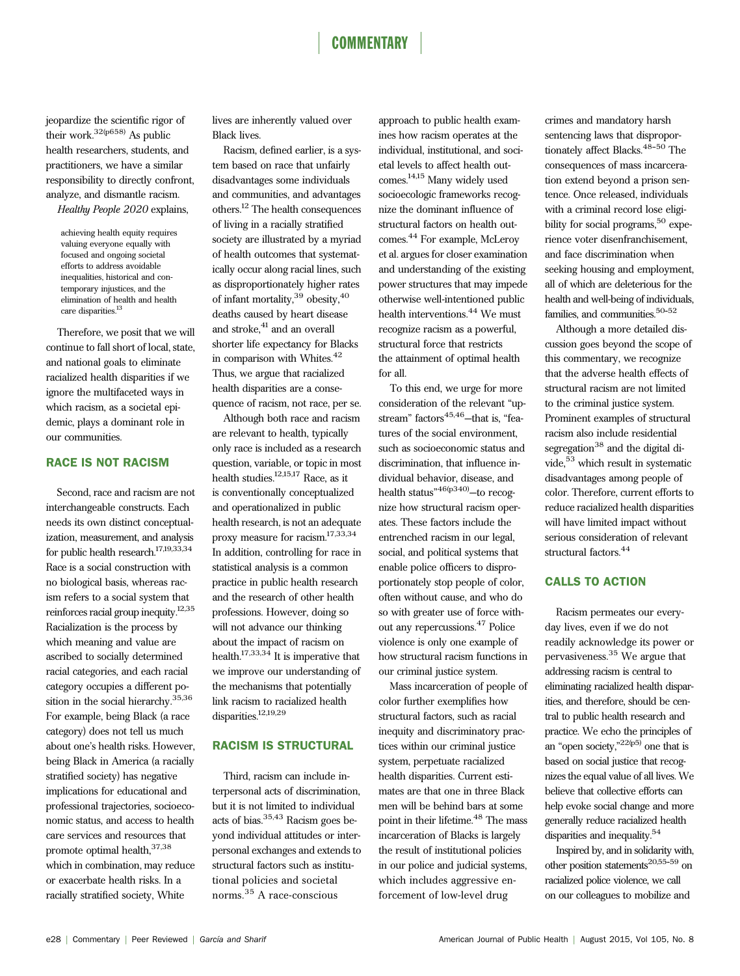jeopardize the scientific rigor of their work. $32(p658)$  As public health researchers, students, and practitioners, we have a similar responsibility to directly confront, analyze, and dismantle racism.

Healthy People 2020 explains,

achieving health equity requires valuing everyone equally with focused and ongoing societal efforts to address avoidable inequalities, historical and contemporary injustices, and the elimination of health and health care disparities.  $^{\rm 13}$ 

Therefore, we posit that we will continue to fall short of local, state, and national goals to eliminate racialized health disparities if we ignore the multifaceted ways in which racism, as a societal epidemic, plays a dominant role in our communities.

# RACE IS NOT RACISM

Second, race and racism are not interchangeable constructs. Each needs its own distinct conceptualization, measurement, and analysis for public health research. $17,19,33,34$ Race is a social construction with no biological basis, whereas racism refers to a social system that reinforces racial group inequity.12,35 Racialization is the process by which meaning and value are ascribed to socially determined racial categories, and each racial category occupies a different position in the social hierarchy.<sup>35,36</sup> For example, being Black (a race category) does not tell us much about one's health risks. However, being Black in America (a racially stratified society) has negative implications for educational and professional trajectories, socioeconomic status, and access to health care services and resources that promote optimal health,37,38 which in combination, may reduce or exacerbate health risks. In a racially stratified society, White

lives are inherently valued over Black lives.

Racism, defined earlier, is a system based on race that unfairly disadvantages some individuals and communities, and advantages others.12 The health consequences of living in a racially stratified society are illustrated by a myriad of health outcomes that systematically occur along racial lines, such as disproportionately higher rates of infant mortality,<sup>39</sup> obesity,<sup>40</sup> deaths caused by heart disease and stroke, $41$  and an overall shorter life expectancy for Blacks in comparison with Whites.<sup>42</sup> Thus, we argue that racialized health disparities are a consequence of racism, not race, per se.

Although both race and racism are relevant to health, typically only race is included as a research question, variable, or topic in most health studies.<sup>12,15,17</sup> Race, as it is conventionally conceptualized and operationalized in public health research, is not an adequate proxy measure for racism.17,33,34 In addition, controlling for race in statistical analysis is a common practice in public health research and the research of other health professions. However, doing so will not advance our thinking about the impact of racism on health.<sup>17,33,34</sup> It is imperative that we improve our understanding of the mechanisms that potentially link racism to racialized health disparities.<sup>12,19,29</sup>

# RACISM IS STRUCTURAL

Third, racism can include interpersonal acts of discrimination, but it is not limited to individual acts of bias.35,43 Racism goes beyond individual attitudes or interpersonal exchanges and extends to structural factors such as institutional policies and societal norms.<sup>35</sup> A race-conscious

approach to public health examines how racism operates at the individual, institutional, and societal levels to affect health outcomes.14,15 Many widely used socioecologic frameworks recognize the dominant influence of structural factors on health outcomes.<sup>44</sup> For example, McLeroy et al. argues for closer examination and understanding of the existing power structures that may impede otherwise well-intentioned public health interventions.<sup>44</sup> We must recognize racism as a powerful, structural force that restricts the attainment of optimal health for all.

To this end, we urge for more consideration of the relevant "upstream" factors $45,46$ —that is, "features of the social environment, such as socioeconomic status and discrimination, that influence individual behavior, disease, and health status"<sup>46(p340)</sup>—to recognize how structural racism operates. These factors include the entrenched racism in our legal, social, and political systems that enable police officers to disproportionately stop people of color, often without cause, and who do so with greater use of force without any repercussions.<sup>47</sup> Police violence is only one example of how structural racism functions in our criminal justice system.

Mass incarceration of people of color further exemplifies how structural factors, such as racial inequity and discriminatory practices within our criminal justice system, perpetuate racialized health disparities. Current estimates are that one in three Black men will be behind bars at some point in their lifetime.<sup>48</sup> The mass incarceration of Blacks is largely the result of institutional policies in our police and judicial systems, which includes aggressive enforcement of low-level drug

crimes and mandatory harsh sentencing laws that disproportionately affect Blacks. $48-50$  The consequences of mass incarceration extend beyond a prison sentence. Once released, individuals with a criminal record lose eligibility for social programs,  $50$  experience voter disenfranchisement, and face discrimination when seeking housing and employment, all of which are deleterious for the health and well-being of individuals, families, and communities. $50-52$ 

Although a more detailed discussion goes beyond the scope of this commentary, we recognize that the adverse health effects of structural racism are not limited to the criminal justice system. Prominent examples of structural racism also include residential segregation<sup>38</sup> and the digital divide,<sup>53</sup> which result in systematic disadvantages among people of color. Therefore, current efforts to reduce racialized health disparities will have limited impact without serious consideration of relevant  $\,$  structural factors.  $^{44}$ 

#### CALLS TO ACTION

Racism permeates our everyday lives, even if we do not readily acknowledge its power or pervasiveness.<sup>35</sup> We argue that addressing racism is central to eliminating racialized health disparities, and therefore, should be central to public health research and practice. We echo the principles of an "open society,"<sup>22(p5)</sup> one that is based on social justice that recognizes the equal value of all lives. We believe that collective efforts can help evoke social change and more generally reduce racialized health disparities and inequality.<sup>54</sup>

Inspired by, and in solidarity with, other position statements<sup>20,55-59</sup> on racialized police violence, we call on our colleagues to mobilize and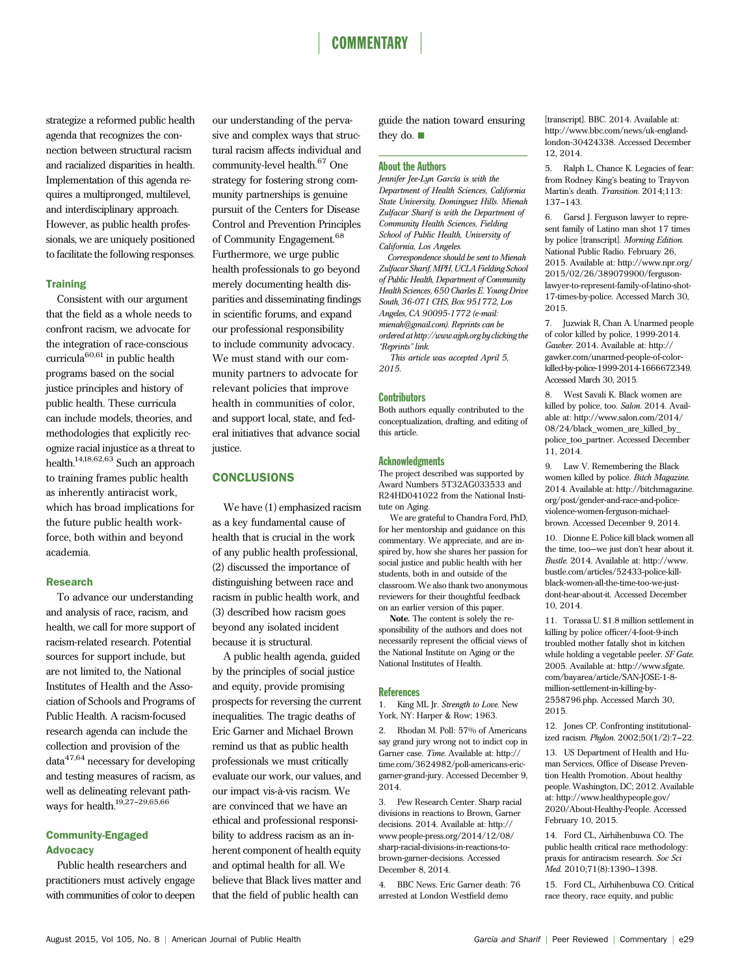# **COMMENTARY**

strategize a reformed public health agenda that recognizes the connection between structural racism and racialized disparities in health. Implementation of this agenda requires a multipronged, multilevel, and interdisciplinary approach. However, as public health professionals, we are uniquely positioned to facilitate the following responses.

## **Training**

Consistent with our argument that the field as a whole needs to confront racism, we advocate for the integration of race-conscious curricula<sup>60,61</sup> in public health programs based on the social justice principles and history of public health. These curricula can include models, theories, and methodologies that explicitly recognize racial injustice as a threat to health.14,18,62,63 Such an approach to training frames public health as inherently antiracist work, which has broad implications for the future public health workforce, both within and beyond academia.

#### Research

To advance our understanding and analysis of race, racism, and health, we call for more support of racism-related research. Potential sources for support include, but are not limited to, the National Institutes of Health and the Association of Schools and Programs of Public Health. A racism-focused research agenda can include the collection and provision of the data47,64 necessary for developing and testing measures of racism, as well as delineating relevant pathways for health.<sup>19,27-29,65,66</sup>

# Community-Engaged **Advocacy**

Public health researchers and practitioners must actively engage with communities of color to deepen

our understanding of the pervasive and complex ways that structural racism affects individual and community-level health.<sup>67</sup> One strategy for fostering strong community partnerships is genuine pursuit of the Centers for Disease Control and Prevention Principles of Community Engagement.<sup>68</sup> Furthermore, we urge public health professionals to go beyond merely documenting health disparities and disseminating findings in scientific forums, and expand our professional responsibility to include community advocacy. We must stand with our community partners to advocate for relevant policies that improve health in communities of color, and support local, state, and federal initiatives that advance social justice.

#### CONCLUSIONS

We have (1) emphasized racism as a key fundamental cause of health that is crucial in the work of any public health professional, (2) discussed the importance of distinguishing between race and racism in public health work, and (3) described how racism goes beyond any isolated incident because it is structural.

A public health agenda, guided by the principles of social justice and equity, provide promising prospects for reversing the current inequalities. The tragic deaths of Eric Garner and Michael Brown remind us that as public health professionals we must critically evaluate our work, our values, and our impact vis-à-vis racism. We are convinced that we have an ethical and professional responsibility to address racism as an inherent component of health equity and optimal health for all. We believe that Black lives matter and that the field of public health can

guide the nation toward ensuring they do.  $\blacksquare$ 

#### About the Authors

Jennifer Jee-Lyn García is with the Department of Health Sciences, California State University, Dominguez Hills. Mienah Zulfacar Sharif is with the Department of Community Health Sciences, Fielding School of Public Health, University of California, Los Angeles.

Correspondence should be sent to Mienah Zulfacar Sharif, MPH, UCLA Fielding School of Public Health, Department of Community Health Sciences, 650 Charles E. Young Drive South, 36-071 CHS, Box 951772, Los Angeles, CA 90095-1772 (e-mail: [mienah@gmail.com](mailto:mienah@gmail.com)). Reprints can be ordered at http://www.ajph.org by clicking the "Reprints" link.

This article was accepted April 5, 2015.

#### **Contributors**

Both authors equally contributed to the conceptualization, drafting, and editing of this article.

#### **Acknowledgments**

The project described was supported by Award Numbers 5T32AG033533 and R24HD041022 from the National Institute on Aging.

We are grateful to Chandra Ford, PhD, for her mentorship and guidance on this commentary. We appreciate, and are inspired by, how she shares her passion for social justice and public health with her students, both in and outside of the classroom. We also thank two anonymous reviewers for their thoughtful feedback on an earlier version of this paper.

Note. The content is solely the responsibility of the authors and does not necessarily represent the official views of the National Institute on Aging or the National Institutes of Health.

#### **References**

1. King ML Jr. Strength to Love. New York, NY: Harper & Row; 1963.

2. Rhodan M. Poll: 57% of Americans say grand jury wrong not to indict cop in Garner case. Time. Available at: [http://](http://time.com/3624982/poll-americans-eric-garner-grand-jury) [time.com/3624982/poll-americans-eric](http://time.com/3624982/poll-americans-eric-garner-grand-jury)[garner-grand-jury.](http://time.com/3624982/poll-americans-eric-garner-grand-jury) Accessed December 9, 2014.

3. Pew Research Center. Sharp racial divisions in reactions to Brown, Garner decisions. 2014. Available at: [http://](http://www.people-press.org/2014/12/08/sharp-racial-divisions-in-reactions-to-brown-garner-decisions) [www.people-press.org/2014/12/08/](http://www.people-press.org/2014/12/08/sharp-racial-divisions-in-reactions-to-brown-garner-decisions) [sharp-racial-divisions-in-reactions-to](http://www.people-press.org/2014/12/08/sharp-racial-divisions-in-reactions-to-brown-garner-decisions)[brown-garner-decisions.](http://www.people-press.org/2014/12/08/sharp-racial-divisions-in-reactions-to-brown-garner-decisions) Accessed December 8, 2014.

4. BBC News. Eric Garner death: 76 arrested at London Westfield demo

[transcript]. BBC. 2014. Available at: [http://www.bbc.com/news/uk-england](http://www.bbc.com/news/uk-england-london-30424338)[london-30424338.](http://www.bbc.com/news/uk-england-london-30424338) Accessed December 12, 2014.

5. Ralph L, Chance K. Legacies of fear: from Rodney King's beating to Trayvon Martin's death. Transition. 2014;113: 137-143.

6. Garsd J. Ferguson lawyer to represent family of Latino man shot 17 times by police [transcript]. Morning Edition. National Public Radio. February 26, 2015. Available at: [http://www.npr.org/](http://www.npr.org/2015/02/26/389079900/ferguson-lawyer-to-represent-family-of-latino-shot-17-times-by-police) [2015/02/26/389079900/ferguson](http://www.npr.org/2015/02/26/389079900/ferguson-lawyer-to-represent-family-of-latino-shot-17-times-by-police)[lawyer-to-represent-family-of-latino-shot-](http://www.npr.org/2015/02/26/389079900/ferguson-lawyer-to-represent-family-of-latino-shot-17-times-by-police)[17-times-by-police.](http://www.npr.org/2015/02/26/389079900/ferguson-lawyer-to-represent-family-of-latino-shot-17-times-by-police) Accessed March 30, 2015.

7. Juzwiak R, Chan A. Unarmed people of color killed by police, 1999-2014. Gawker. 2014. Available at: [http://](http://gawker.com/unarmed-people-of-color-killed-by-police-1999-2014-1666672349) [gawker.com/unarmed-people-of-color](http://gawker.com/unarmed-people-of-color-killed-by-police-1999-2014-1666672349)[killed-by-police-1999-2014-1666672349.](http://gawker.com/unarmed-people-of-color-killed-by-police-1999-2014-1666672349) Accessed March 30, 2015.

8. West Savali K. Black women are killed by police, too. Salon. 2014. Available at: [http://www.salon.com/2014/](http://www.salon.com/2014/08/24/black_women_are_killed_by_police_too_partner) [08/24/black\\_women\\_are\\_killed\\_by\\_](http://www.salon.com/2014/08/24/black_women_are_killed_by_police_too_partner) [police\\_too\\_partner.](http://www.salon.com/2014/08/24/black_women_are_killed_by_police_too_partner) Accessed December 11, 2014.

9. Law V. Remembering the Black women killed by police. Bitch Magazine. 2014. Available at: [http://bitchmagazine.](http://bitchmagazine.org/post/gender-and-race-and-police-violence-women-ferguson-michael-brown) [org/post/gender-and-race-and-police](http://bitchmagazine.org/post/gender-and-race-and-police-violence-women-ferguson-michael-brown)[violence-women-ferguson-michael](http://bitchmagazine.org/post/gender-and-race-and-police-violence-women-ferguson-michael-brown)[brown](http://bitchmagazine.org/post/gender-and-race-and-police-violence-women-ferguson-michael-brown). Accessed December 9, 2014.

10. Dionne E. Police kill black women all the time, too—we just don't hear about it. Bustle. 2014. Available at: [http://www.](http://www.bustle.com/articles/52433-police-kill-black-women-all-the-time-too-we-just-dont-hear-about-it) [bustle.com/articles/52433-police-kill](http://www.bustle.com/articles/52433-police-kill-black-women-all-the-time-too-we-just-dont-hear-about-it)[black-women-all-the-time-too-we-just](http://www.bustle.com/articles/52433-police-kill-black-women-all-the-time-too-we-just-dont-hear-about-it)[dont-hear-about-it.](http://www.bustle.com/articles/52433-police-kill-black-women-all-the-time-too-we-just-dont-hear-about-it) Accessed December 10, 2014.

11. Torassa U. \$1.8 million settlement in killing by police officer/4-foot-9-inch troubled mother fatally shot in kitchen while holding a vegetable peeler. SF Gate. 2005. Available at: [http://www.sfgate.](http://www.sfgate.com/bayarea/article/SAN-JOSE-1-8-million-settlement-in-killing-by-2558796.php) [com/bayarea/article/SAN-JOSE-1-8](http://www.sfgate.com/bayarea/article/SAN-JOSE-1-8-million-settlement-in-killing-by-2558796.php) [million-settlement-in-killing-by-](http://www.sfgate.com/bayarea/article/SAN-JOSE-1-8-million-settlement-in-killing-by-2558796.php)[2558796.php.](http://www.sfgate.com/bayarea/article/SAN-JOSE-1-8-million-settlement-in-killing-by-2558796.php) Accessed March 30, 2015.

12. Jones CP. Confronting institutionalized racism. Phylon. 2002;50(1/2):7-22.

13. US Department of Health and Human Services, Office of Disease Prevention Health Promotion. About healthy people. Washington, DC; 2012. Available at: [http://www.healthypeople.gov/](http://www.healthypeople.gov/2020/About-Healthy-People) [2020/About-Healthy-People](http://www.healthypeople.gov/2020/About-Healthy-People). Accessed February 10, 2015.

14. Ford CL, Airhihenbuwa CO. The public health critical race methodology: praxis for antiracism research. Soc Sci Med. 2010;71(8):1390-1398.

15. Ford CL, Airhihenbuwa CO. Critical race theory, race equity, and public